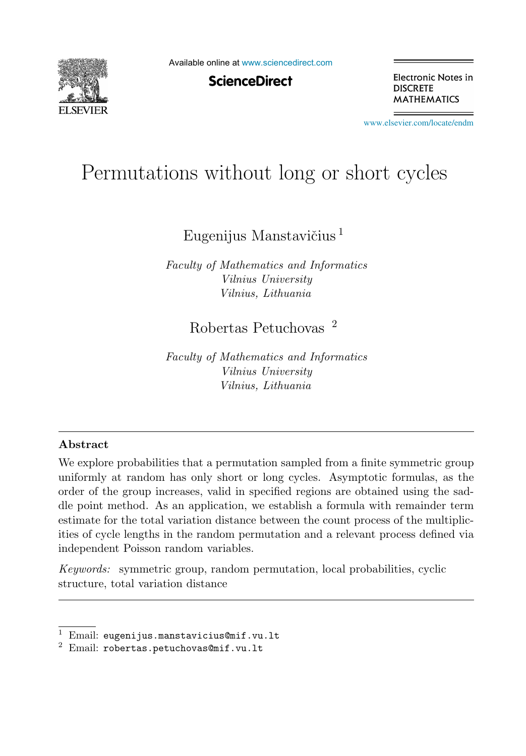

Available online at [www.sciencedirect.com](http://www.sciencedirect.com)

**ScienceDirect** 

Electronic Notes in **DISCRETE MATHEMATICS** 

[www.elsevier.com/locate/endm](http://www.elsevier.com/locate/endm)

# Permutations without long or short cycles

Eugenijus Manstavičius  $^1$ 

*Faculty of Mathematics and Informatics Vilnius University Vilnius, Lithuania*

## Robertas Petuchovas <sup>2</sup>

*Faculty of Mathematics and Informatics Vilnius University Vilnius, Lithuania*

#### **Abstract**

We explore probabilities that a permutation sampled from a finite symmetric group uniformly at random has only short or long cycles. Asymptotic formulas, as the order of the group increases, valid in specified regions are obtained using the saddle point method. As an application, we establish a formula with remainder term estimate for the total variation distance between the count process of the multiplicities of cycle lengths in the random permutation and a relevant process defined via independent Poisson random variables.

*Keywords:* symmetric group, random permutation, local probabilities, cyclic structure, total variation distance

<sup>&</sup>lt;sup>1</sup> Email: eugenijus.manstavicius@mif.vu.lt<br><sup>2</sup> Email: robertas.petuchovas@mif.vu.lt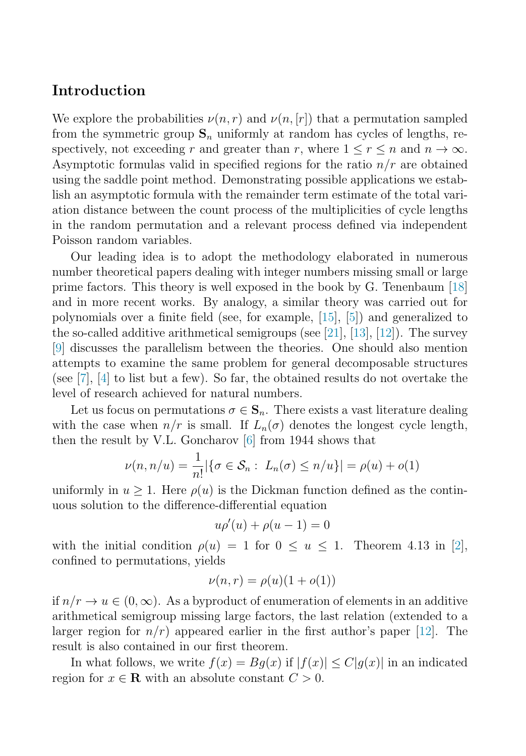### **Introduction**

We explore the probabilities  $\nu(n,r)$  and  $\nu(n,[r])$  that a permutation sampled from the symmetric group  $S_n$  uniformly at random has cycles of lengths, respectively, not exceeding r and greater than r, where  $1 \leq r \leq n$  and  $n \to \infty$ . Asymptotic formulas valid in specified regions for the ratio  $n/r$  are obtained using the saddle point method. Demonstrating possible applications we establish an asymptotic formula with the remainder term estimate of the total variation distance between the count process of the multiplicities of cycle lengths in the random permutation and a relevant process defined via independent Poisson random variables.

Our leading idea is to adopt the methodology elaborated in numerous number theoretical papers dealing with integer numbers missing small or large prime factors. This theory is well exposed in the book by G. Tenenbaum [\[18\]](#page-5-0) and in more recent works. By analogy, a similar theory was carried out for polynomials over a finite field (see, for example, [\[15\]](#page-5-0), [\[5\]](#page-4-0)) and generalized to the so-called additive arithmetical semigroups (see [\[21\]](#page-5-0), [\[13\]](#page-4-0), [\[12\]](#page-4-0)). The survey [\[9\]](#page-4-0) discusses the parallelism between the theories. One should also mention attempts to examine the same problem for general decomposable structures (see [\[7\]](#page-4-0), [\[4\]](#page-4-0) to list but a few). So far, the obtained results do not overtake the level of research achieved for natural numbers.

Let us focus on permutations  $\sigma \in \mathbf{S}_n$ . There exists a vast literature dealing with the case when  $n/r$  is small. If  $L_n(\sigma)$  denotes the longest cycle length, then the result by V.L. Goncharov [\[6\]](#page-4-0) from 1944 shows that

$$
\nu(n, n/u) = \frac{1}{n!} |\{\sigma \in S_n : L_n(\sigma) \le n/u\}| = \rho(u) + o(1)
$$

uniformly in  $u \geq 1$ . Here  $\rho(u)$  is the Dickman function defined as the continuous solution to the difference-differential equation

$$
u\rho'(u) + \rho(u-1) = 0
$$

with the initial condition  $\rho(u) = 1$  for  $0 \le u \le 1$ . Theorem 4.13 in [\[2\]](#page-4-0), confined to permutations, yields

$$
\nu(n,r) = \rho(u)(1+o(1))
$$

if  $n/r \to u \in (0,\infty)$ . As a byproduct of enumeration of elements in an additive arithmetical semigroup missing large factors, the last relation (extended to a larger region for  $n/r$ ) appeared earlier in the first author's paper [\[12\]](#page-4-0). The result is also contained in our first theorem.

In what follows, we write  $f(x) = Bg(x)$  if  $|f(x)| \leq C|g(x)|$  in an indicated region for  $x \in \mathbf{R}$  with an absolute constant  $C > 0$ .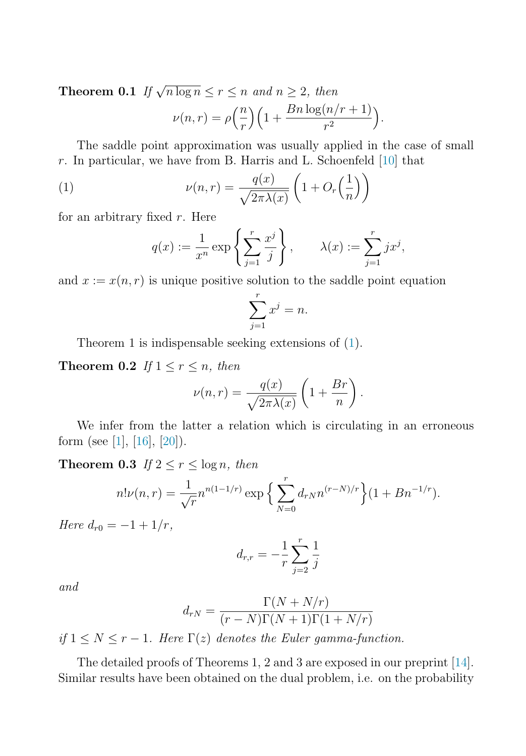**Theorem 0.1** If  $\sqrt{n \log n} \leq r \leq n$  and  $n \geq 2$ , then

$$
\nu(n,r) = \rho\left(\frac{n}{r}\right)\left(1 + \frac{Bn\log(n/r+1)}{r^2}\right).
$$

The saddle point approximation was usually applied in the case of small r. In particular, we have from B. Harris and L. Schoenfeld  $[10]$  that

(1) 
$$
\nu(n,r) = \frac{q(x)}{\sqrt{2\pi\lambda(x)}} \left(1 + O_r\left(\frac{1}{n}\right)\right)
$$

for an arbitrary fixed  $r$ . Here

$$
q(x) := \frac{1}{x^n} \exp\left\{ \sum_{j=1}^r \frac{x^j}{j} \right\}, \qquad \lambda(x) := \sum_{j=1}^r j x^j,
$$

and  $x := x(n, r)$  is unique positive solution to the saddle point equation

$$
\sum_{j=1}^{r} x^j = n.
$$

Theorem 1 is indispensable seeking extensions of (1).

**Theorem 0.2** If  $1 \leq r \leq n$ , then

$$
\nu(n,r) = \frac{q(x)}{\sqrt{2\pi\lambda(x)}} \left(1 + \frac{Br}{n}\right).
$$

We infer from the latter a relation which is circulating in an erroneous form (see [\[1\]](#page-4-0), [\[16\]](#page-5-0), [\[20\]](#page-5-0)).

**Theorem 0.3** If  $2 \le r \le \log n$ , then

$$
n!\nu(n,r) = \frac{1}{\sqrt{r}} n^{n(1-1/r)} \exp\left\{\sum_{N=0}^r d_{rN} n^{(r-N)/r}\right\} (1 + B n^{-1/r}).
$$

Here  $d_{r0} = -1 + 1/r$ ,

$$
d_{r,r} = -\frac{1}{r} \sum_{j=2}^{r} \frac{1}{j}
$$

and

$$
d_{rN} = \frac{\Gamma(N + N/r)}{(r - N)\Gamma(N + 1)\Gamma(1 + N/r)}
$$

if  $1 \leq N \leq r-1$ . Here  $\Gamma(z)$  denotes the Euler gamma-function.

The detailed proofs of Theorems 1, 2 and 3 are exposed in our preprint [\[14\]](#page-5-0). Similar results have been obtained on the dual problem, i.e. on the probability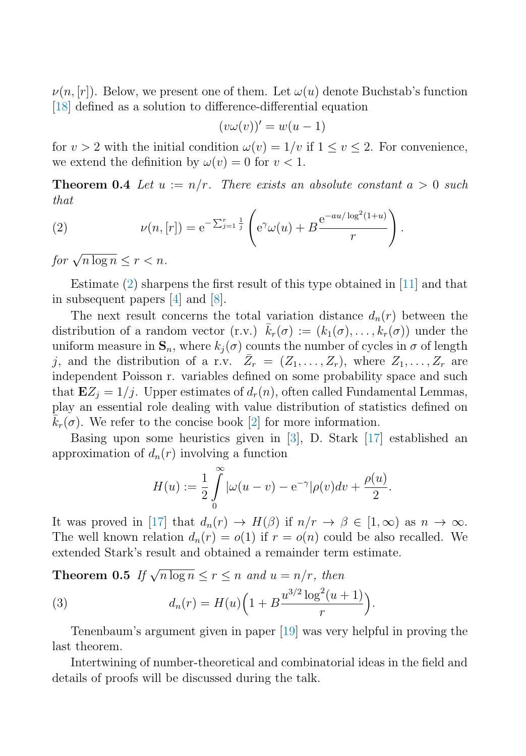$\nu(n,[r])$ . Below, we present one of them. Let  $\omega(u)$  denote Buchstab's function [\[18\]](#page-5-0) defined as a solution to difference-differential equation

$$
(v\omega(v))'=w(u-1)
$$

for  $v > 2$  with the initial condition  $\omega(v) = 1/v$  if  $1 \le v \le 2$ . For convenience, we extend the definition by  $\omega(v) = 0$  for  $v < 1$ .

**Theorem 0.4** Let  $u := n/r$ . There exists an absolute constant  $a > 0$  such that

(2) 
$$
\nu(n,[r]) = e^{-\sum_{j=1}^r \frac{1}{j}} \left( e^{\gamma} \omega(u) + B \frac{e^{-au/\log^2(1+u)}}{r} \right).
$$

for  $\sqrt{n \log n} < r < n$ .

Estimate (2) sharpens the first result of this type obtained in [\[11\]](#page-4-0) and that in subsequent papers [\[4\]](#page-4-0) and [\[8\]](#page-4-0).

The next result concerns the total variation distance  $d_n(r)$  between the distribution of a random vector  $(\mathbf{r}.\mathbf{v})$ .  $\bar{k}_r(\sigma) := (k_1(\sigma), \ldots, k_r(\sigma))$  under the uniform measure in  $\mathbf{S}_n$ , where  $k_i(\sigma)$  counts the number of cycles in  $\sigma$  of length j, and the distribution of a r.v.  $\bar{Z}_r = (Z_1, \ldots, Z_r)$ , where  $Z_1, \ldots, Z_r$  are independent Poisson r. variables defined on some probability space and such that  $\mathbf{E}Z_i = 1/j$ . Upper estimates of  $d_r(n)$ , often called Fundamental Lemmas, play an essential role dealing with value distribution of statistics defined on  $\bar{k}_r(\sigma)$ . We refer to the concise book [\[2\]](#page-4-0) for more information.

Basing upon some heuristics given in [\[3\]](#page-4-0), D. Stark [\[17\]](#page-5-0) established an approximation of  $d_n(r)$  involving a function

$$
H(u) := \frac{1}{2} \int_{0}^{\infty} |\omega(u - v) - e^{-\gamma}| \rho(v) dv + \frac{\rho(u)}{2}.
$$

It was proved in [\[17\]](#page-5-0) that  $d_n(r) \to H(\beta)$  if  $n/r \to \beta \in [1,\infty)$  as  $n \to \infty$ . The well known relation  $d_n(r) = o(1)$  if  $r = o(n)$  could be also recalled. We extended Stark's result and obtained a remainder term estimate.

**Theorem 0.5** If  $\sqrt{n \log n} \leq r \leq n$  and  $u = n/r$ , then

(3) 
$$
d_n(r) = H(u) \left( 1 + B \frac{u^{3/2} \log^2(u+1)}{r} \right).
$$

Tenenbaum's argument given in paper [\[19\]](#page-5-0) was very helpful in proving the last theorem.

Intertwining of number-theoretical and combinatorial ideas in the field and details of proofs will be discussed during the talk.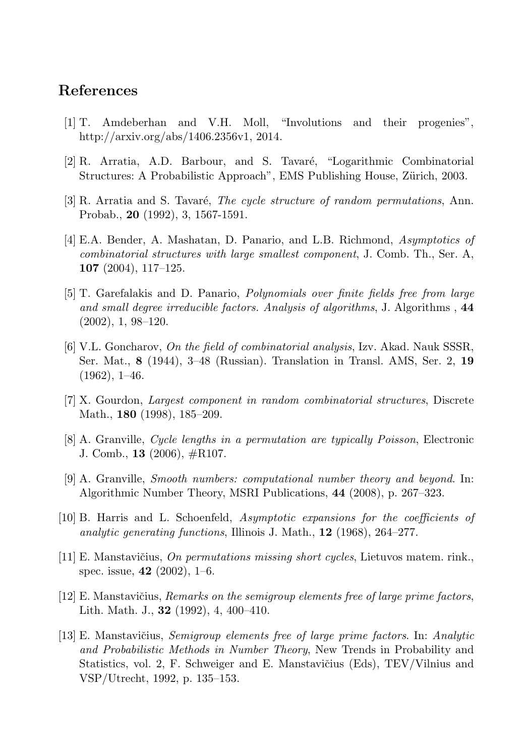#### <span id="page-4-0"></span>**References**

- [1] T. Amdeberhan and V.H. Moll, "Involutions and their progenies", http://arxiv.org/abs/1406.2356v1, 2014.
- [2] R. Arratia, A.D. Barbour, and S. Tavaré, "Logarithmic Combinatorial Structures: A Probabilistic Approach", EMS Publishing House, Zürich, 2003.
- [3] R. Arratia and S. Tavar´e, *The cycle structure of random permutations*, Ann. Probab., **20** (1992), 3, 1567-1591.
- [4] E.A. Bender, A. Mashatan, D. Panario, and L.B. Richmond, *Asymptotics of combinatorial structures with large smallest component*, J. Comb. Th., Ser. A, **107** (2004), 117–125.
- [5] T. Garefalakis and D. Panario, *Polynomials over finite fields free from large and small degree irreducible factors. Analysis of algorithms*, J. Algorithms , **44** (2002), 1, 98–120.
- [6] V.L. Goncharov, *On the field of combinatorial analysis*, Izv. Akad. Nauk SSSR, Ser. Mat., **8** (1944), 3–48 (Russian). Translation in Transl. AMS, Ser. 2, **19**  $(1962), 1-46.$
- [7] X. Gourdon, *Largest component in random combinatorial structures*, Discrete Math., **180** (1998), 185–209.
- [8] A. Granville, *Cycle lengths in a permutation are typically Poisson*, Electronic J. Comb., **13** (2006), #R107.
- [9] A. Granville, *Smooth numbers: computational number theory and beyond*. In: Algorithmic Number Theory, MSRI Publications, **44** (2008), p. 267–323.
- [10] B. Harris and L. Schoenfeld, *Asymptotic expansions for the coefficients of analytic generating functions*, Illinois J. Math., **12** (1968), 264–277.
- [11] E. Manstaviˇcius, *On permutations missing short cycles*, Lietuvos matem. rink., spec. issue, **42** (2002), 1–6.
- [12] E. Manstavičius, *Remarks on the semigroup elements free of large prime factors*, Lith. Math. J., **32** (1992), 4, 400–410.
- [13] E. Manstaviˇcius, *Semigroup elements free of large prime factors*. In: *Analytic and Probabilistic Methods in Number Theory*, New Trends in Probability and Statistics, vol. 2, F. Schweiger and E. Manstavičius (Eds), TEV/Vilnius and VSP/Utrecht, 1992, p. 135–153.